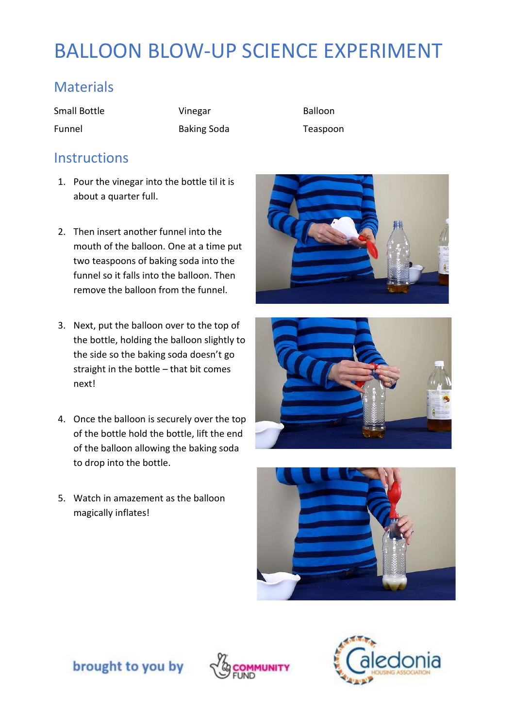# BALLOON BLOW-UP SCIENCE EXPERIMENT

## **Materials**

Small Bottle **Vinegar** Vinegar Balloon

Funnel Baking Soda Teaspoon

#### **Instructions**

- 1. Pour the vinegar into the bottle til it is about a quarter full.
- 2. Then insert another funnel into the mouth of the balloon. One at a time put two teaspoons of baking soda into the funnel so it falls into the balloon. Then remove the balloon from the funnel.
- 3. Next, put the balloon over to the top of the bottle, holding the balloon slightly to the side so the baking soda doesn't go straight in the bottle – that bit comes next!
- 4. Once the balloon is securely over the top of the bottle hold the bottle, lift the end of the balloon allowing the baking soda to drop into the bottle.
- 5. Watch in amazement as the balloon magically inflates!







brought to you by